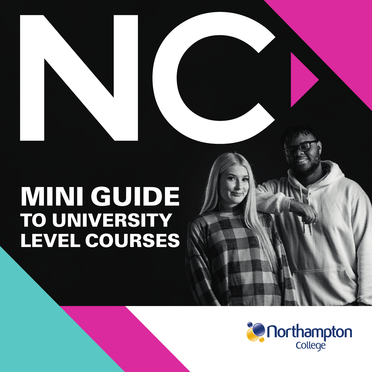# MINI GUIDE TO UNIVERSITY LEVEL COURSES

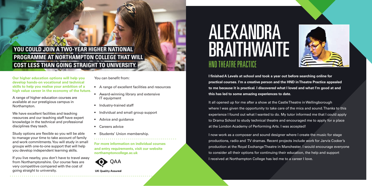### YOU COULD JOIN A TWO-YEAR HIGHER NAT **PROGRAMME AT NORTHAMPTON COLLEGE THAT WILL COST LESS THAN GOING STRAIGHT TO UNIVERSITY.**

**Our higher education options will help you develop hands-on vocational and technical skills to help you realise your ambition of a high value career in the economy of the future.** 

A range of higher education courses are available at our prestigious campus in Northampton.

We have excellent facilities and teaching resources and our teaching staff have expert knowledge in the technical and professional disciplines they teach.

Study options are flexible so you will be able to manage your time to take account of family and work commitments. You will study in small groups with one-to-one support that will help you develop independent learning skills.

If you live nearby, you don't have to travel away from Northamptonshire. Our course fees are very competitive compared with the cost of going straight to university.

You can benefit from:

- A range of excellent facilities and resources
- Award-winning library and extensive IT equipment
- Industry-trained staff
- Individual and small group support
- Advice and guidance
- Careers advice
- Students' Union membership.

**For more information on individual courses and entry requirements, visit our website northamptoncollege.ac.uk**



**UK Ouality Assured** 

# ALEXANDRA **BRAITHWAITE** HND THEATRE PRACTICE



**I finished A Levels at school and took a year out before searching online for practical courses. I'm a creative person and the HND in Theatre Practice appealed to me because it is practical. I discovered what I loved and what I'm good at and this has led to some amazing experiences to date.**

It all opened up for me after a show at the Castle Theatre in Wellingborough where I was given the opportunity to take care of the mics and sound. Thanks to this experience I found out what I wanted to do. My tutor informed me that I could apply to Drama School to study technical theatre and encouraged me to apply for a place at the London Academy of Performing Arts. I was accepted!

I now work as a composer and sound designer where I create the music for stage productions, radio and TV dramas. Recent projects include work for Jarvis Cocker's production at the Royal Exchange Theatre in Manchester. I would encourage everyone to consider all their options for continuing their education, the help and support I received at Northampton College has led me to a career I love.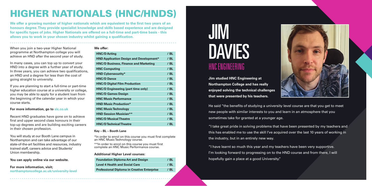## HIGHER NATIONALS (HNC/HNDS)

**We offer a growing number of higher nationals which are equivalent to the first two years of an honours degree. They provide specialist knowledge and skills based experience and are designed for specific types of jobs. Higher Nationals are offered on a full-time and part-time basis - this allows you to work in your chosen industry whilst gaining a qualification.**

When you join a two-year Higher National programme at Northampton college you will achieve an HND after the second year of study.

In many cases, you can top up to convert your HND into a degree with a further year of study. In three years, you can achieve two qualifications, an HND and a degree for less than the cost of going straight to university.

If you are planning to start a full-time or part-time higher education course at a university or college. you may be able to apply for a student loan from the beginning of the calendar year in which your course starts.

#### **For more information, go to slc.co.uk**

Recent HND graduates have gone on to achieve first and upper second class honours in their top-up degrees and are building exciting careers in their chosen profession.

You will study at our Booth Lane campus in Northampton and can take advantage of our state-of-the-art facilities and resources, industry trained staff, careers advice and Students' Union membership.

**You can apply online via our website.** 

#### **For more information, visit; northamptoncollege.ac.uk/university-level**

#### **We offer:**

| <b>HNC/D Acting</b>                            | $/$ BL |
|------------------------------------------------|--------|
| <b>HND Application Design and Development*</b> | $/$ BL |
| <b>HNC/D Business, Finance and Marketing</b>   | $/$ BL |
| <b>HNC Computing</b>                           | $/$ BL |
| <b>HND Cybersecurity*</b>                      | $/$ BL |
| <b>HNC/D Dance</b>                             | $/$ BL |
| <b>HNC/D Digital Film Production</b>           | $/$ BL |
| <b>HNC/D Engineering (part time only)</b>      | $/$ BL |
| <b>HNC/D Games Design</b>                      | $/$ BL |
| <b>HNC Music Performance</b>                   | $/$ BL |
| <b>HND Music Production*</b>                   | $/$ BL |
| <b>HNC Music Technology</b>                    | $/$ BL |
| <b>HND Session Musician**</b>                  | $/$ BL |
| <b>HNC/D Musical Theatre</b>                   | $/$ BL |
| <b>HNC/D Technical Theatre</b>                 | $/$ BL |

#### **Key – BL – Booth Lane**

\*In order to enrol on this course you must first complete an HNC Music Technology course.

\*\*In order to enrol on this course you must first complete an HNC Music Performance course.

#### **Additional Higher Level courses:**

| <b>Foundation Diploma Art and Design</b>           | / BL |
|----------------------------------------------------|------|
| <b>Level 4 Health and Social Care</b>              | / BL |
| <b>Professional Diploma in Creative Enterprise</b> | / BL |



**Jim studied HNC Engineering at Northampton College and has really enjoyed solving the technical challenges that were presented by his teachers.**



He said "the benefits of studying a university level course are that you get to meet new people with similar interests to you and learn in an atmosphere that you sometimes take for granted at a younger age.

"I take great pride in solving problems that have been presented by my teachers and this has enabled me to use the skill I've acquired over the last 10 years of working in the industry, but in an entirely new way.

"I have learnt so much this year and my teachers have been very supportive. I'm looking forward to progressing on to the HND course and from there, I will hopefully gain a place at a good University."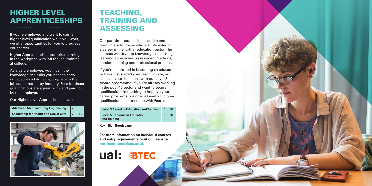### HIGHER LEVEL APPRENTICESHIPS

If you're employed and want to gain a higher level qualification while you work, we offer opportunities for you to progress your career.

Higher Apprenticeships combine learning in the workplace with 'off the job' training at college.

As a paid employee, you'll gain the knowledge and skills you need to carry out specialised duties appropriate to the job standards set by industry. Fees for these qualifications are agreed with, and paid for, by the employer.

Our Higher Level Apprenticeships are:

| <b>Advanced Manufacturing Engineering</b>    | <b>BL</b> |
|----------------------------------------------|-----------|
| <b>Leadership for Health and Social Care</b> | <b>BL</b> |



### TEACHING, TRAINING AND ASSESSING

Our part-time courses in education and training are for those who are interested in a career in the further education sector. The courses will develop knowledge in teaching/ learning approaches, assessment methods, session planning and professional practice.

If you're interested in becoming an educator or have just started your teaching role, you can take your first steps with our Level 3 Award programme. If you're already working in the post-16 sector and want to secure qualifications in teaching to improve your career prospects, we offer a Level 5 Diploma qualification in partnership with Pearson.

| <b>Level 3 Award in Education and Training</b>      | BL        |
|-----------------------------------------------------|-----------|
| <b>Level 5 Diploma in Education</b><br>and Training | <b>BL</b> |
|                                                     |           |

**Key – BL – Booth Lane**

**For more information on individual courses and entry requirements, visit our website northamptoncollege.ac.uk**

# ual: BIEC